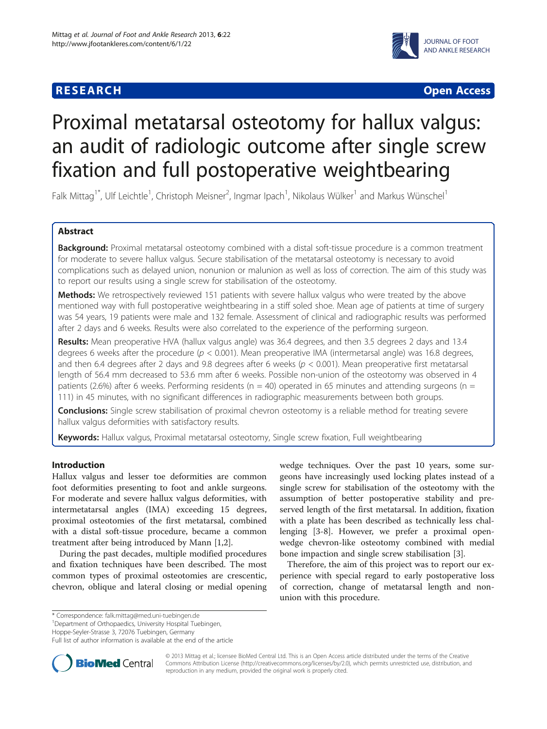# **RESEARCH CHEAR CHEAR CHEAR CHEAR CHEAR CHEAR CHEAR CHEAR CHEAR CHEAR CHEAR CHEAR CHEAR CHEAR CHEAR CHEAR CHEAR**



# Proximal metatarsal osteotomy for hallux valgus: an audit of radiologic outcome after single screw fixation and full postoperative weightbearing

Falk Mittag<sup>1\*</sup>, Ulf Leichtle<sup>1</sup>, Christoph Meisner<sup>2</sup>, Ingmar Ipach<sup>1</sup>, Nikolaus Wülker<sup>1</sup> and Markus Wünschel<sup>1</sup>

# Abstract

Background: Proximal metatarsal osteotomy combined with a distal soft-tissue procedure is a common treatment for moderate to severe hallux valgus. Secure stabilisation of the metatarsal osteotomy is necessary to avoid complications such as delayed union, nonunion or malunion as well as loss of correction. The aim of this study was to report our results using a single screw for stabilisation of the osteotomy.

Methods: We retrospectively reviewed 151 patients with severe hallux valgus who were treated by the above mentioned way with full postoperative weightbearing in a stiff soled shoe. Mean age of patients at time of surgery was 54 years, 19 patients were male and 132 female. Assessment of clinical and radiographic results was performed after 2 days and 6 weeks. Results were also correlated to the experience of the performing surgeon.

Results: Mean preoperative HVA (hallux valgus angle) was 36.4 degrees, and then 3.5 degrees 2 days and 13.4 degrees 6 weeks after the procedure ( $p < 0.001$ ). Mean preoperative IMA (intermetarsal angle) was 16.8 degrees, and then 6.4 degrees after 2 days and 9.8 degrees after 6 weeks ( $p < 0.001$ ). Mean preoperative first metatarsal length of 56.4 mm decreased to 53.6 mm after 6 weeks. Possible non-union of the osteotomy was observed in 4 patients (2.6%) after 6 weeks. Performing residents ( $n = 40$ ) operated in 65 minutes and attending surgeons ( $n =$ 111) in 45 minutes, with no significant differences in radiographic measurements between both groups.

**Conclusions:** Single screw stabilisation of proximal chevron osteotomy is a reliable method for treating severe hallux valgus deformities with satisfactory results.

Keywords: Hallux valgus, Proximal metatarsal osteotomy, Single screw fixation, Full weightbearing

# Introduction

Hallux valgus and lesser toe deformities are common foot deformities presenting to foot and ankle surgeons. For moderate and severe hallux valgus deformities, with intermetatarsal angles (IMA) exceeding 15 degrees, proximal osteotomies of the first metatarsal, combined with a distal soft-tissue procedure, became a common treatment after being introduced by Mann [[1](#page-4-0),[2](#page-4-0)].

During the past decades, multiple modified procedures and fixation techniques have been described. The most common types of proximal osteotomies are crescentic, chevron, oblique and lateral closing or medial opening wedge techniques. Over the past 10 years, some surgeons have increasingly used locking plates instead of a single screw for stabilisation of the osteotomy with the assumption of better postoperative stability and preserved length of the first metatarsal. In addition, fixation with a plate has been described as technically less challenging [[3-8](#page-4-0)]. However, we prefer a proximal openwedge chevron-like osteotomy combined with medial bone impaction and single screw stabilisation [[3\]](#page-4-0).

Therefore, the aim of this project was to report our experience with special regard to early postoperative loss of correction, change of metatarsal length and nonunion with this procedure.

<sup>1</sup>Department of Orthopaedics, University Hospital Tuebingen,

Hoppe-Seyler-Strasse 3, 72076 Tuebingen, Germany

Full list of author information is available at the end of the article



© 2013 Mittag et al.; licensee BioMed Central Ltd. This is an Open Access article distributed under the terms of the Creative Commons Attribution License [\(http://creativecommons.org/licenses/by/2.0\)](http://creativecommons.org/licenses/by/2.0), which permits unrestricted use, distribution, and reproduction in any medium, provided the original work is properly cited.

<sup>\*</sup> Correspondence: [falk.mittag@med.uni-tuebingen.de](mailto:falk.mittag@med.uni-tuebingen.de) <sup>1</sup>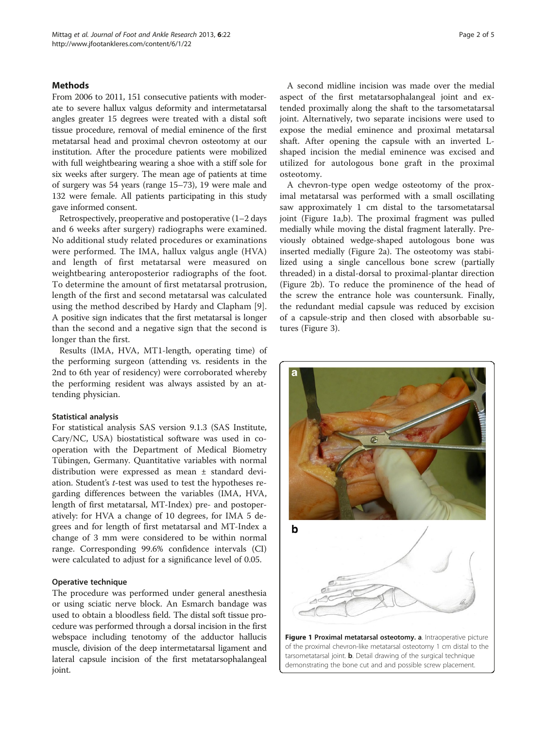# <span id="page-1-0"></span>**Methods**

From 2006 to 2011, 151 consecutive patients with moderate to severe hallux valgus deformity and intermetatarsal angles greater 15 degrees were treated with a distal soft tissue procedure, removal of medial eminence of the first metatarsal head and proximal chevron osteotomy at our institution. After the procedure patients were mobilized with full weightbearing wearing a shoe with a stiff sole for six weeks after surgery. The mean age of patients at time of surgery was 54 years (range 15–73), 19 were male and 132 were female. All patients participating in this study gave informed consent.

Retrospectively, preoperative and postoperative (1–2 days and 6 weeks after surgery) radiographs were examined. No additional study related procedures or examinations were performed. The IMA, hallux valgus angle (HVA) and length of first metatarsal were measured on weightbearing anteroposterior radiographs of the foot. To determine the amount of first metatarsal protrusion, length of the first and second metatarsal was calculated using the method described by Hardy and Clapham [[9](#page-4-0)]. A positive sign indicates that the first metatarsal is longer than the second and a negative sign that the second is longer than the first.

Results (IMA, HVA, MT1-length, operating time) of the performing surgeon (attending vs. residents in the 2nd to 6th year of residency) were corroborated whereby the performing resident was always assisted by an attending physician.

## Statistical analysis

For statistical analysis SAS version 9.1.3 (SAS Institute, Cary/NC, USA) biostatistical software was used in cooperation with the Department of Medical Biometry Tübingen, Germany. Quantitative variables with normal distribution were expressed as mean ± standard deviation. Student's t-test was used to test the hypotheses regarding differences between the variables (IMA, HVA, length of first metatarsal, MT-Index) pre- and postoperatively: for HVA a change of 10 degrees, for IMA 5 degrees and for length of first metatarsal and MT-Index a change of 3 mm were considered to be within normal range. Corresponding 99.6% confidence intervals (CI) were calculated to adjust for a significance level of 0.05.

#### Operative technique

The procedure was performed under general anesthesia or using sciatic nerve block. An Esmarch bandage was used to obtain a bloodless field. The distal soft tissue procedure was performed through a dorsal incision in the first webspace including tenotomy of the adductor hallucis muscle, division of the deep intermetatarsal ligament and lateral capsule incision of the first metatarsophalangeal joint.

A second midline incision was made over the medial aspect of the first metatarsophalangeal joint and extended proximally along the shaft to the tarsometatarsal joint. Alternatively, two separate incisions were used to expose the medial eminence and proximal metatarsal shaft. After opening the capsule with an inverted Lshaped incision the medial eminence was excised and utilized for autologous bone graft in the proximal osteotomy.

A chevron-type open wedge osteotomy of the proximal metatarsal was performed with a small oscillating saw approximately 1 cm distal to the tarsometatarsal joint (Figure 1a,b). The proximal fragment was pulled medially while moving the distal fragment laterally. Previously obtained wedge-shaped autologous bone was inserted medially (Figure [2](#page-2-0)a). The osteotomy was stabilized using a single cancellous bone screw (partially threaded) in a distal-dorsal to proximal-plantar direction (Figure [2](#page-2-0)b). To reduce the prominence of the head of the screw the entrance hole was countersunk. Finally, the redundant medial capsule was reduced by excision of a capsule-strip and then closed with absorbable sutures (Figure [3\)](#page-2-0).



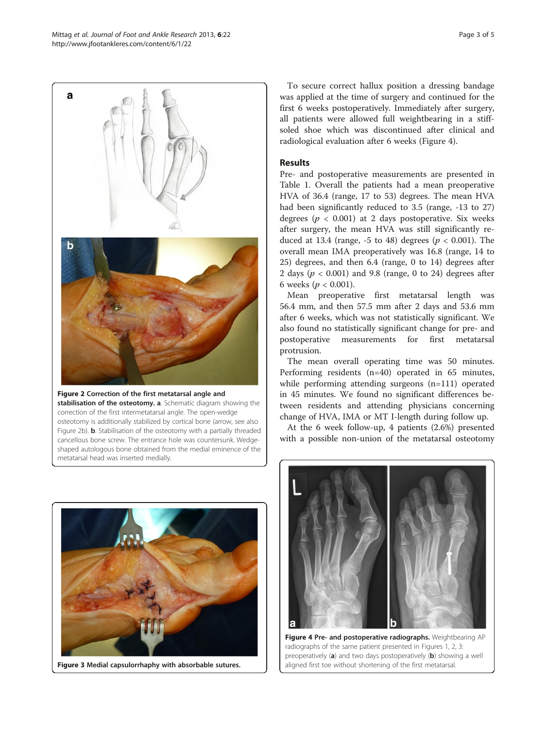<span id="page-2-0"></span>

Figure 2 Correction of the first metatarsal angle and stabilisation of the osteotomy. a. Schematic diagram showing the correction of the first intermetatarsal angle. The open-wedge osteotomy is additionally stabilized by cortical bone (arrow, see also Figure 2b). **b.** Stabilisation of the osteotomy with a partially threaded cancellous bone screw. The entrance hole was countersunk. Wedgeshaped autologous bone obtained from the medial eminence of the metatarsal head was inserted medially.



Figure 3 Medial capsulorrhaphy with absorbable sutures.

To secure correct hallux position a dressing bandage was applied at the time of surgery and continued for the first 6 weeks postoperatively. Immediately after surgery, all patients were allowed full weightbearing in a stiffsoled shoe which was discontinued after clinical and radiological evaluation after 6 weeks (Figure 4).

# Results

Pre- and postoperative measurements are presented in Table [1](#page-3-0). Overall the patients had a mean preoperative HVA of 36.4 (range, 17 to 53) degrees. The mean HVA had been significantly reduced to 3.5 (range, -13 to 27) degrees ( $p < 0.001$ ) at 2 days postoperative. Six weeks after surgery, the mean HVA was still significantly reduced at 13.4 (range,  $-5$  to 48) degrees ( $p < 0.001$ ). The overall mean IMA preoperatively was 16.8 (range, 14 to 25) degrees, and then 6.4 (range, 0 to 14) degrees after 2 days ( $p < 0.001$ ) and 9.8 (range, 0 to 24) degrees after 6 weeks ( $p < 0.001$ ).

Mean preoperative first metatarsal length was 56.4 mm, and then 57.5 mm after 2 days and 53.6 mm after 6 weeks, which was not statistically significant. We also found no statistically significant change for pre- and postoperative measurements for first metatarsal protrusion.

The mean overall operating time was 50 minutes. Performing residents (n=40) operated in 65 minutes, while performing attending surgeons (n=111) operated in 45 minutes. We found no significant differences between residents and attending physicians concerning change of HVA, IMA or MT I-length during follow up.

At the 6 week follow-up, 4 patients (2.6%) presented with a possible non-union of the metatarsal osteotomy



Figure 4 Pre- and postoperative radiographs. Weightbearing AP radiographs of the same patient presented in Figures [1](#page-1-0), 2, 3: preoperatively (a) and two days postoperatively (b) showing a well aligned first toe without shortening of the first metatarsal.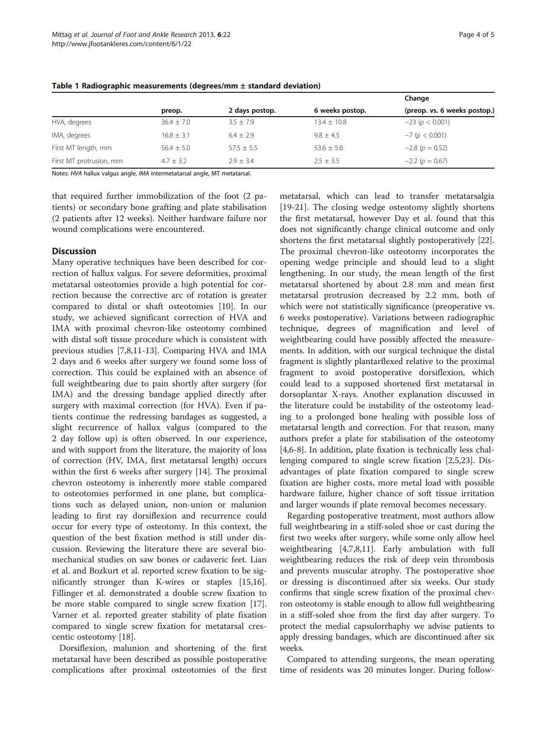|                                                                                                                                                                                                                                   | preop.         | 2 days postop. | 6 weeks postop. | Change<br>(preop. vs. 6 weeks postop.) |
|-----------------------------------------------------------------------------------------------------------------------------------------------------------------------------------------------------------------------------------|----------------|----------------|-----------------|----------------------------------------|
|                                                                                                                                                                                                                                   |                |                |                 |                                        |
| HVA, degrees                                                                                                                                                                                                                      | $36.4 \pm 7.0$ | $3.5 + 7.9$    | $13.4 \pm 10.8$ | $-23(p < 0.001)$                       |
| IMA, degrees                                                                                                                                                                                                                      | $16.8 \pm 3.1$ | $6.4 \pm 2.9$  | $9.8 + 4.5$     | $-7(p < 0.001)$                        |
| First MT length, mm                                                                                                                                                                                                               | $56.4 + 5.0$   | $57.5 \pm 5.5$ | $53.6 \pm 5.6$  | $-2.8$ ( $p = 0.52$ )                  |
| First MT protrusion, mm                                                                                                                                                                                                           | $4.7 \pm 3.2$  | $2.9 \pm 3.4$  | $2.5 \pm 3.5$   | $-2.2$ ( $p = 0.67$ )                  |
| $\mathbf{r}$ . The set of the set of the set of the set of the set of the set of the set of the set of the set of the set of the set of the set of the set of the set of the set of the set of the set of the set of the set of t |                |                |                 |                                        |

<span id="page-3-0"></span>Table 1 Radiographic measurements (degrees/mm ± standard deviation)

Notes: HVA hallux valgus angle, IMA intermetatarsal angle, MT metatarsal.

that required further immobilization of the foot (2 patients) or secondary bone grafting and plate stabilisation (2 patients after 12 weeks). Neither hardware failure nor wound complications were encountered.

### **Discussion**

Many operative techniques have been described for correction of hallux valgus. For severe deformities, proximal metatarsal osteotomies provide a high potential for correction because the corrective arc of rotation is greater compared to distal or shaft osteotomies [\[10](#page-4-0)]. In our study, we achieved significant correction of HVA and IMA with proximal chevron-like osteotomy combined with distal soft tissue procedure which is consistent with previous studies [[7,8,11-13](#page-4-0)]. Comparing HVA and IMA 2 days and 6 weeks after surgery we found some loss of correction. This could be explained with an absence of full weightbearing due to pain shortly after surgery (for IMA) and the dressing bandage applied directly after surgery with maximal correction (for HVA). Even if patients continue the redressing bandages as suggested, a slight recurrence of hallux valgus (compared to the 2 day follow up) is often observed. In our experience, and with support from the literature, the majority of loss of correction (HV, IMA, first metatarsal length) occurs within the first 6 weeks after surgery [[14\]](#page-4-0). The proximal chevron osteotomy is inherently more stable compared to osteotomies performed in one plane, but complications such as delayed union, non-union or malunion leading to first ray dorsiflexion and recurrence could occur for every type of osteotomy. In this context, the question of the best fixation method is still under discussion. Reviewing the literature there are several biomechanical studies on saw bones or cadaveric feet. Lian et al. and Bozkurt et al. reported screw fixation to be significantly stronger than K-wires or staples [\[15,16](#page-4-0)]. Fillinger et al. demonstrated a double screw fixation to be more stable compared to single screw fixation [\[17](#page-4-0)]. Varner et al. reported greater stability of plate fixation compared to single screw fixation for metatarsal crescentic osteotomy [\[18](#page-4-0)].

Dorsiflexion, malunion and shortening of the first metatarsal have been described as possible postoperative complications after proximal osteotomies of the first

metatarsal, which can lead to transfer metatarsalgia [[19-21](#page-4-0)]. The closing wedge osteotomy slightly shortens the first metatarsal, however Day et al. found that this does not significantly change clinical outcome and only shortens the first metatarsal slightly postoperatively [\[22](#page-4-0)]. The proximal chevron-like osteotomy incorporates the opening wedge principle and should lead to a slight lengthening. In our study, the mean length of the first metatarsal shortened by about 2.8 mm and mean first metatarsal protrusion decreased by 2.2 mm, both of which were not statistically significance (preoperative vs. 6 weeks postoperative). Variations between radiographic technique, degrees of magnification and level of weightbearing could have possibly affected the measurements. In addition, with our surgical technique the distal fragment is slightly plantarflexed relative to the proximal fragment to avoid postoperative dorsiflexion, which could lead to a supposed shortened first metatarsal in dorsoplantar X-rays. Another explanation discussed in the literature could be instability of the osteotomy leading to a prolonged bone healing with possible loss of metatarsal length and correction. For that reason, many authors prefer a plate for stabilisation of the osteotomy [[4,6-8](#page-4-0)]. In addition, plate fixation is technically less challenging compared to single screw fixation [\[2,5,23](#page-4-0)]. Disadvantages of plate fixation compared to single screw fixation are higher costs, more metal load with possible hardware failure, higher chance of soft tissue irritation and larger wounds if plate removal becomes necessary.

Regarding postoperative treatment, most authors allow full weightbearing in a stiff-soled shoe or cast during the first two weeks after surgery, while some only allow heel weightbearing [[4,7,8,11\]](#page-4-0). Early ambulation with full weightbearing reduces the risk of deep vein thrombosis and prevents muscular atrophy. The postoperative shoe or dressing is discontinued after six weeks. Our study confirms that single screw fixation of the proximal chevron osteotomy is stable enough to allow full weightbearing in a stiff-soled shoe from the first day after surgery. To protect the medial capsulorrhaphy we advise patients to apply dressing bandages, which are discontinued after six weeks.

Compared to attending surgeons, the mean operating time of residents was 20 minutes longer. During follow-